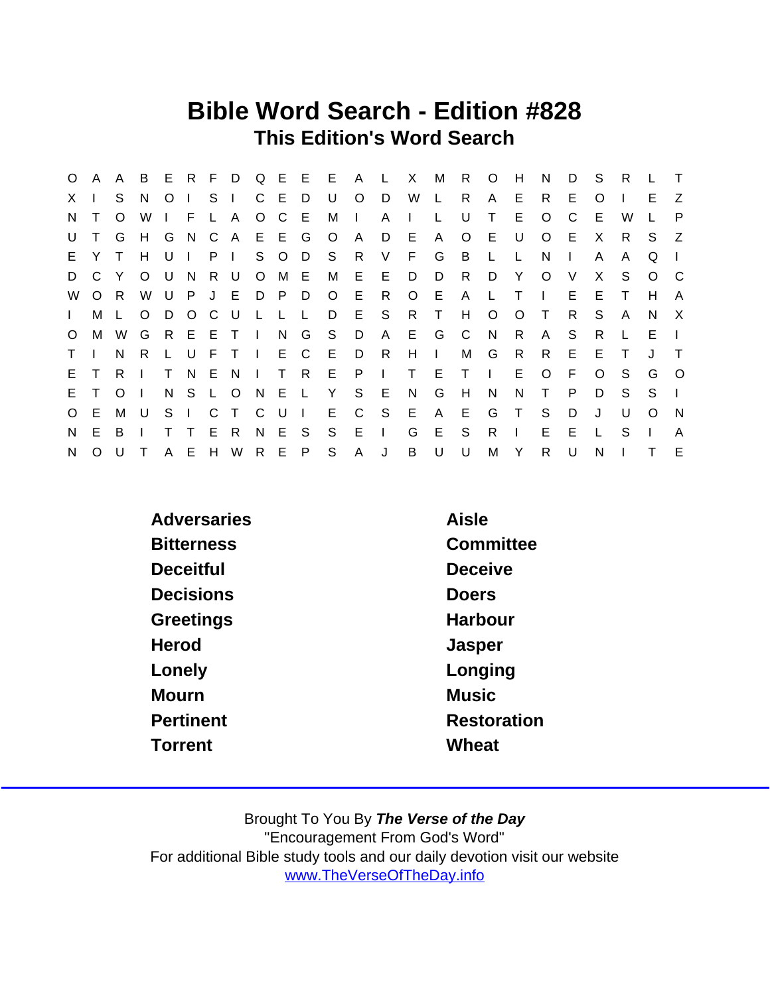### Bible Word Search - Edition #828 This Edition's Word Search

| $\circ$      | A        | $\mathsf{A}$ | B       |                |     |                |              |                |              |                | E R F D Q E E E | A L          |                | $\mathsf{X}$ | М            | R.           | $\circ$        | H            | N            | D | S       | R.           |              | $\top$       |
|--------------|----------|--------------|---------|----------------|-----|----------------|--------------|----------------|--------------|----------------|-----------------|--------------|----------------|--------------|--------------|--------------|----------------|--------------|--------------|---|---------|--------------|--------------|--------------|
| $\mathsf{X}$ |          | S.           | N.      | O <sub>1</sub> |     | S.             | $\mathbf{I}$ |                | C E D        |                | U               | $\circ$      | D              | W            | $\mathsf{L}$ | R            | A              | E.           | R            | Е | O       |              | F.           | Z            |
| N.           |          | $\circ$      | W       |                | -F  |                | L A          |                | $O$ $C$      | E              | M               | $\Box$       | A              | $\mathbf{I}$ | $\mathsf{L}$ | U            | Τ              | E.           | $\Omega$     | C | Е       | W            |              | P            |
| U            |          | G            | H       | G N            |     | $\mathbf{C}$   | A E E G      |                |              |                | $\circ$         | $\mathsf{A}$ | D              | E            | A            | $\circ$      | E.             | U            | $\circ$      | E | X       | R.           | S.           | Z            |
| E.           | Y        | $\top$       | H       | $U \perp$      |     | P <sub>1</sub> |              |                | S O          | D.             | -S              | R.           | V              | F.           | G            | B.           | $\mathsf{L}$   | $\mathsf{L}$ | N            |   | A       | A            | Q            |              |
| D            | C        | Y            | O       | U              | - N |                | R U          |                | O M E        |                | M               |              | $E$ $E$        | D            | D            | R.           | D              | Y            | O            | V | X       | S.           | $\Omega$     | - C          |
| W            | $\circ$  | - R          | W       |                | U P |                | J E          |                | D P          | D.             | $\circ$         | E.           | R.             | $\circ$      | - E          | A            | $\mathsf{L}$   | $\top$       | $\mathbf{I}$ | E | Е       | $\top$       | H            | A            |
| $\mathbf{L}$ | М        |              | $\circ$ |                | D O | $\mathbf{C}$   | U.           | $\mathsf{L}$   | $\mathsf{L}$ | −L.            | D               |              | E S            | R            | $\top$       | H            | $\circ$        | O            | $\top$       | R | S.      | $\mathsf{A}$ | <sup>N</sup> | $\mathsf{X}$ |
| $\circ$      | M        | W            | G       |                |     |                | REETI        |                | N G          |                | S               | D            | $\mathsf{A}$   | E.           | G            | $\mathbf{C}$ | N.             | R            | A            | S | R       |              | E            | $\mathbf{I}$ |
| $\mathsf{T}$ |          | N.           | R.      |                | L U | - F -          | $\top$       | $\blacksquare$ |              | E C            | - E             | D            | R              | H            | $\mathbf{I}$ | M            | G              | R            | R.           | E | Е       | Т            | J            | $\top$       |
| E.           | $\top$   | R.           |         | T.             | - N | - E            | N            | $\mathbb{R}^n$ | $\top$       | R              | E P             |              | $\sim 1$ .     | T E          |              | $\top$       | $\blacksquare$ | E            | $\circ$      | E | $\circ$ | S.           | G            | $\circ$      |
| E.           | T.       | $\Omega$     |         |                | N S | L O            |              | N E            |              | - Li           | Y               | S            | - E            | N            | G            | H            | N              | N            | $\top$       | P | D       | S.           | S.           | $\mathbf{I}$ |
| $\circ$      | E.       | M            | U       | $S \mid$       |     | $\mathsf{C}$   | $\top$       | C U            |              | $\blacksquare$ | E               | $\mathsf{C}$ | $^{\circ}$ S   | E            | A            | E.           | G              | $\top$       | S            | D | J       | U            | O            | - N          |
| N            | E.       | B            |         | т              | T   | E.             | R            |                | N E          | - S            | S               | E            | $\blacksquare$ | G            | E            | S            | R              | I.           | E.           | E | L       | S            |              | A            |
| N            | $\Omega$ | U            |         |                | A E |                | H W          |                | R E P        |                | S               | $\mathsf{A}$ | J              | B            | U            | U            | M              | Y            | R.           | U | N       |              |              | E            |

| <b>Adversaries</b> | Aisle          |
|--------------------|----------------|
| <b>Bitterness</b>  | Committee      |
| Deceitful          | <b>Deceive</b> |
| <b>Decisions</b>   | Doers          |
| Greetings          | Harbour        |
| Herod              | Jasper         |
| Lonely             | Longing        |
| Mourn              | <b>Music</b>   |
| Pertinent          | Restoration    |
| Torrent            | Wheat          |
|                    |                |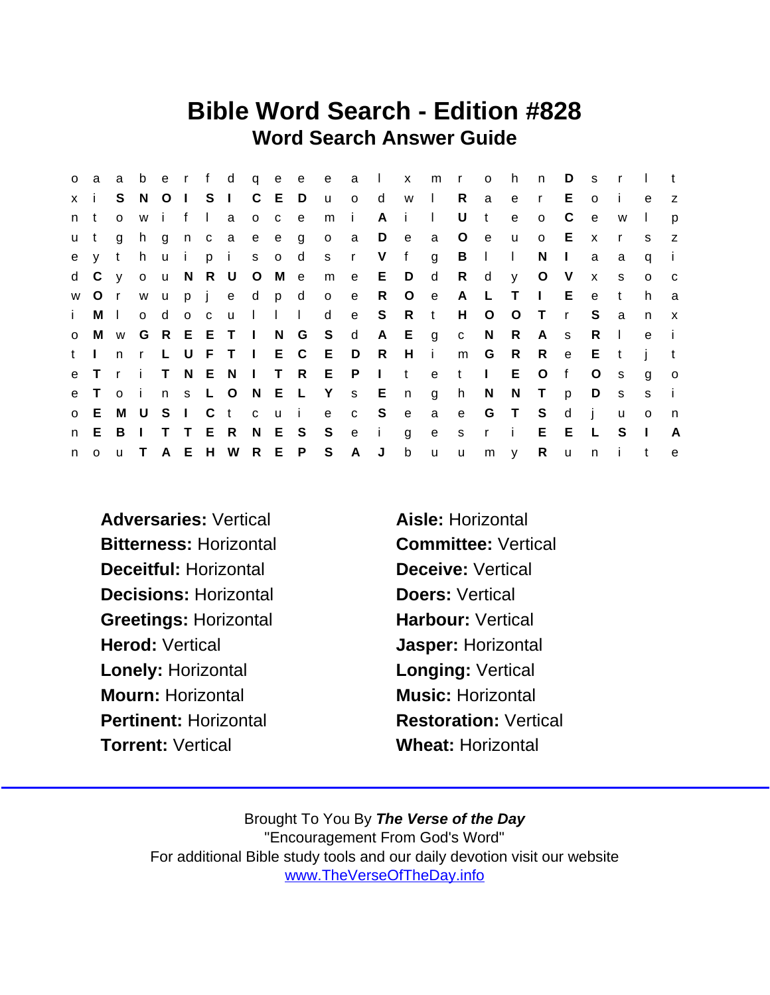### Bible Word Search - Edition #828 Word Search Answer Guide

| $\circ$      | a               | a            | b            |                 |              |        |               |                                                                  |               |                   |              |                |              | erf d q e e e a I x m r |              | $\overline{O}$ | h           | n            | D            | s.           | $\mathsf{r}$ |              |                |
|--------------|-----------------|--------------|--------------|-----------------|--------------|--------|---------------|------------------------------------------------------------------|---------------|-------------------|--------------|----------------|--------------|-------------------------|--------------|----------------|-------------|--------------|--------------|--------------|--------------|--------------|----------------|
| x i          |                 | S.           | - N          | $O \mid S \mid$ |              |        |               | C E D                                                            |               | $U$ 0             |              | $\mathsf{d}$   | w I          |                         | R.           | a              | e           | $\mathsf{r}$ | E            | $\Omega$     | j.           | e            | z              |
| n            | t               | $\mathbf{o}$ | W            | i f             |              | $\Box$ | a             | $0c$ e                                                           |               | m                 | $\mathbf{I}$ | A              | i.           | $\mathbf{I}$            | U            | $-t$           | $\mathbf e$ | $\circ$      | C            | e            | W            | $\mathbf{I}$ | p              |
| u t          |                 | g            | h            | g               |              |        | n c a e e g   |                                                                  |               | o a               |              | D              | e            | a                       | $\circ$      | e              | u           | $\circ$      | - E          | $\mathsf{x}$ | $\mathsf{r}$ | S.           | z              |
|              | e y t           |              | h            |                 | u i          |        | pi            | s o d                                                            |               |                   | s r V        |                | f            | g                       | B            | $\sim$ 1.0     | $\Box$      | N            | $\Box$       | a            | a            | q            | $\blacksquare$ |
|              | d C y o u N R U |              |              |                 |              |        |               | O M e                                                            |               | m                 | e            | E              | D            | d d                     | R            | d              | y.          | $\circ$      | $\vee$       | $\mathsf{x}$ | S.           | $\circ$      | $\mathbf{C}$   |
| W            | $\circ$         | $\mathsf{r}$ | W            | <b>u</b>        |              |        | pjedpd        |                                                                  |               | $\circ$           | e            | $\mathsf{R}$   | $\circ$      | $\mathbf{e}$            | A            | $\mathsf{L}$   | $\top$      | $\Box$       | E.           | e            | $\mathbf{t}$ | h            | a              |
| $\mathbf{i}$ | M I             |              | $\mathsf{o}$ | d               | $O$ $C$      |        | <b>u</b>      | $\begin{array}{ccc} & \cdot & \cdot & \cdot & \cdot \end{array}$ |               | d                 | e            | S R t          |              |                         | H            | $\circ$        | $\circ$     | $\top$       | $\mathsf{r}$ | S.           | a            | n            | $\mathsf{X}$   |
| $\circ$      | M               |              | w G          |                 |              |        | R E E T I N G |                                                                  |               | S                 | $\mathsf{d}$ |                | A E g        |                         | $\mathbf{C}$ | N              | R.          | A            | <b>S</b>     | R            | $\perp$      | e            | -i             |
| t I          |                 | n            | $\mathsf{r}$ |                 |              |        |               |                                                                  |               | L U F T I E C E D |              | R              | $H$ i        |                         | m            | G              | R           | R.           | $\mathbf{e}$ | E.           | $-t$         |              |                |
|              | e T             | r i          |              |                 | T N E        |        | N             |                                                                  |               | I T R E P         |              | $\mathbf{I}$ t |              |                         | e t l        |                | E           | $\circ$      | f            | $\circ$      | s.           | g            | $\circ$        |
| e            | $\top$          | o i          |              |                 | n s L O      |        |               |                                                                  |               | N E L Y s E       |              |                | n            | g                       | h            | N              | N           | $\top$       | p            | D            | <b>S</b>     | S            | $\mathbf{i}$   |
| $\mathsf{O}$ | E.              | M U          |              | S.              | $\mathbf{1}$ | C.     | t             | c u i                                                            |               |                   | e c          | S.             | e            | a                       | e            |                | G T         | S            | d            | $\mathbf{I}$ | u            | $\Omega$     | n              |
| n            | E.              | B            | $\Box$       |                 | $T$ $T$      |        | E R           | N E S                                                            |               | S                 | e            | $\mathbf{i}$   | $\mathbf{q}$ | e                       | S            | $r - i$        |             | E.           | E.           | $\mathsf{L}$ | S            | $\mathbf{I}$ | A              |
| n            | $\circ$         |              | u T          |                 |              |        |               |                                                                  | A E H W R E P | S                 | A            | J              | $\mathsf b$  | $\mathsf{u}$            | $\mathsf{u}$ |                | m y         | $R$ $u$      |              | n            | $\mathbf{i}$ | t            | e              |

- Adversaries: Vertical Aisle: Horizontal Bitterness: Horizontal Committee: Vertical Deceitful: Horizontal Deceive: Vertical Decisions: Horizontal **Doers: Vertical** Greetings: Horizontal Harbour: Vertical Herod: Vertical **Herod:** Vertical **Jasper: Horizontal** Lonely: Horizontal **Longing: Vertical** Mourn: Horizontal Music: Horizontal Pertinent: Horizontal Restoration: Vertical Torrent: Vertical Wheat: Horizontal
-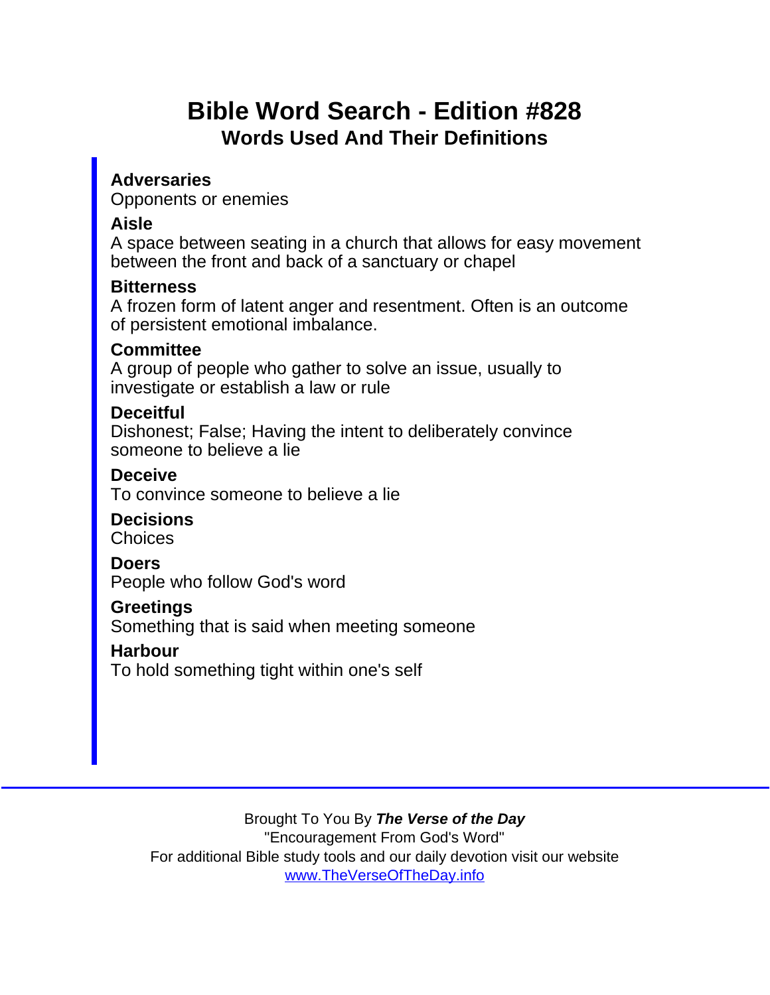# Bible Word Search - Edition #828 Words Used And Their Definitions

**Adversaries** Opponents or enemies

Aisle

A space between seating in a church that allows for easy movement between the front and back of a sanctuary or chapel

**Bitterness** 

A frozen form of latent anger and resentment. Often is an outcome of persistent emotional imbalance.

**Committee** 

A group of people who gather to solve an issue, usually to investigate or establish a law or rule

**Deceitful** 

Dishonest; False; Having the intent to deliberately convince someone to believe a lie

**Deceive** To convince someone to believe a lie

**Decisions Choices** 

Doers People who follow God's word

**Greetings** 

Something that is said when meeting someone

Harbour

To hold something tight within one's self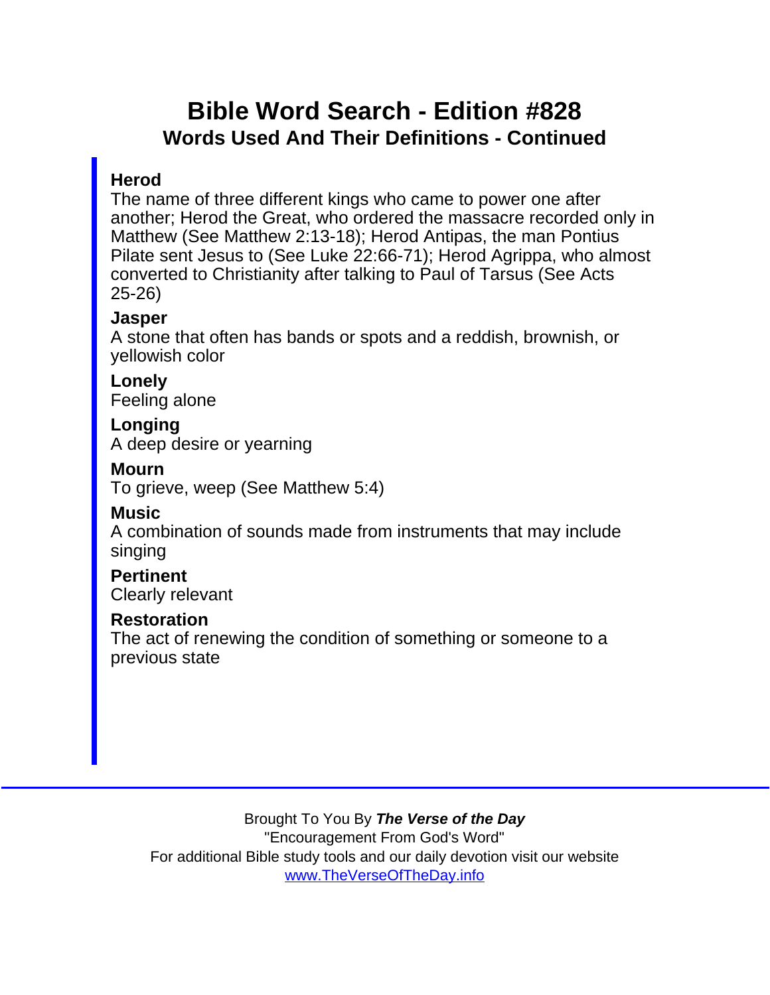## Bible Word Search - Edition #828 Words Used And Their Definitions - Continued

#### **Herod**

The name of three different kings who came to power one after another; Herod the Great, who ordered the massacre recorded only in Matthew (See Matthew 2:13-18); Herod Antipas, the man Pontius Pilate sent Jesus to (See Luke 22:66-71); Herod Agrippa, who almost converted to Christianity after talking to Paul of Tarsus (See Acts 25-26)

**Jasper** 

A stone that often has bands or spots and a reddish, brownish, or yellowish color

**Lonely** Feeling alone

Longing A deep desire or yearning

Mourn

To grieve, weep (See Matthew 5:4)

**Music** 

A combination of sounds made from instruments that may include singing

**Pertinent** Clearly relevant

Restoration

The act of renewing the condition of something or someone to a previous state